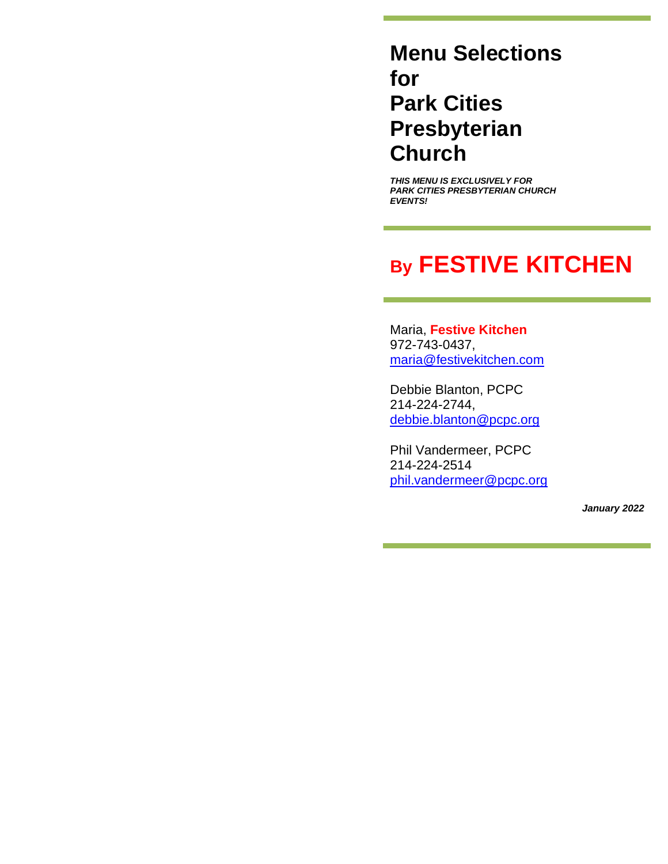# **Menu Selections for Park Cities Presbyterian Church**

*THIS MENU IS EXCLUSIVELY FOR PARK CITIES PRESBYTERIAN CHURCH EVENTS!*

# **By FESTIVE KITCHEN**

Maria, **Festive Kitchen** 972-743-0437, [maria@festivekitchen.com](mailto:maria@festivekitchen.com)

Debbie Blanton, PCPC 214-224-2744, [debbie.blanton@pcpc.org](mailto:debbie.blanton@pcpc.org)

Phil Vandermeer, PCPC 214-224-2514 [phil.vandermeer@pcpc.org](mailto:phil.vandermeer@pcpc.org)

*January 2022*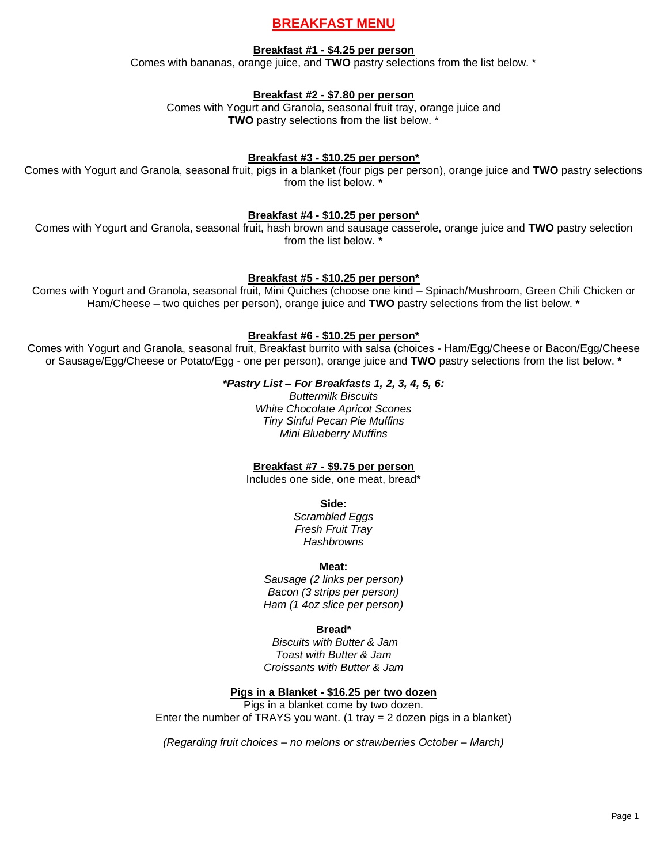# **BREAKFAST MENU**

## **Breakfast #1 - \$4.25 per person**

Comes with bananas, orange juice, and **TWO** pastry selections from the list below. \*

## **Breakfast #2 - \$7.80 per person**

Comes with Yogurt and Granola, seasonal fruit tray, orange juice and **TWO** pastry selections from the list below. \*

## **Breakfast #3 - \$10.25 per person\***

Comes with Yogurt and Granola, seasonal fruit, pigs in a blanket (four pigs per person), orange juice and **TWO** pastry selections from the list below. **\***

## **Breakfast #4 - \$10.25 per person\***

Comes with Yogurt and Granola, seasonal fruit, hash brown and sausage casserole, orange juice and **TWO** pastry selection from the list below. **\***

### **Breakfast #5 - \$10.25 per person\***

Comes with Yogurt and Granola, seasonal fruit, Mini Quiches (choose one kind – Spinach/Mushroom, Green Chili Chicken or Ham/Cheese – two quiches per person), orange juice and **TWO** pastry selections from the list below. **\***

### **Breakfast #6 - \$10.25 per person\***

Comes with Yogurt and Granola, seasonal fruit, Breakfast burrito with salsa (choices - Ham/Egg/Cheese or Bacon/Egg/Cheese or Sausage/Egg/Cheese or Potato/Egg - one per person), orange juice and **TWO** pastry selections from the list below. **\***

## *\*Pastry List – For Breakfasts 1, 2, 3, 4, 5, 6:*

*Buttermilk Biscuits White Chocolate Apricot Scones Tiny Sinful Pecan Pie Muffins Mini Blueberry Muffins*

## **Breakfast #7 - \$9.75 per person**

Includes one side, one meat, bread\*

### **Side:**

*Scrambled Eggs Fresh Fruit Tray Hashbrowns*

### **Meat:**

*Sausage (2 links per person) Bacon (3 strips per person) Ham (1 4oz slice per person)*

### **Bread\***

*Biscuits with Butter & Jam Toast with Butter & Jam Croissants with Butter & Jam*

### **Pigs in a Blanket - \$16.25 per two dozen**

Pigs in a blanket come by two dozen. Enter the number of TRAYS you want. (1 tray  $= 2$  dozen pigs in a blanket)

*(Regarding fruit choices – no melons or strawberries October – March)*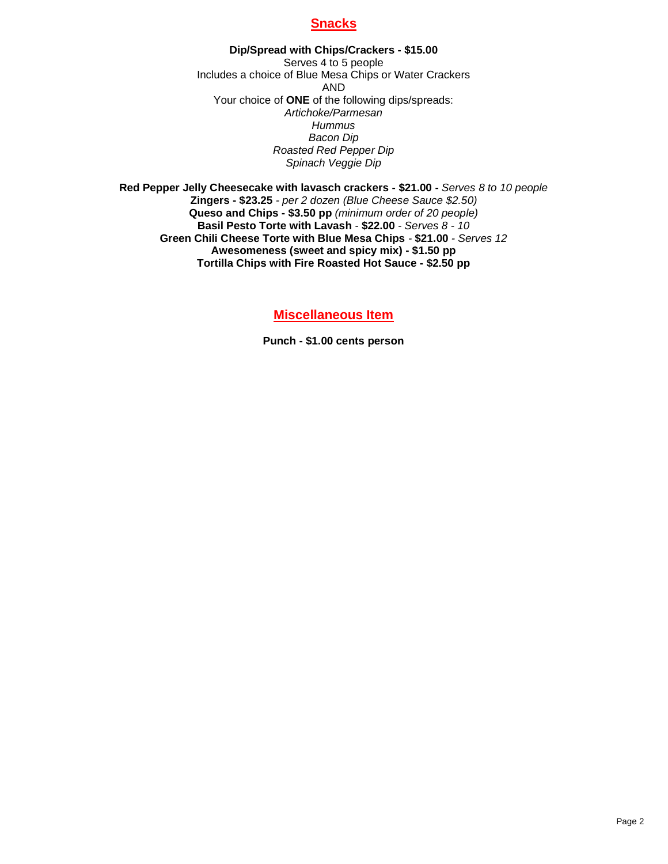# **Snacks**

**Dip/Spread with Chips/Crackers - \$15.00** Serves 4 to 5 people Includes a choice of Blue Mesa Chips or Water Crackers AND Your choice of **ONE** of the following dips/spreads: *Artichoke/Parmesan Hummus Bacon Dip Roasted Red Pepper Dip Spinach Veggie Dip*

**Red Pepper Jelly Cheesecake with lavasch crackers - \$21.00 -** *Serves 8 to 10 people* **Zingers - \$23.25** *- per 2 dozen (Blue Cheese Sauce \$2.50)* **Queso and Chips - \$3.50 pp** *(minimum order of 20 people)* **Basil Pesto Torte with Lavash** *-* **\$22.00** *- Serves 8 - 10* **Green Chili Cheese Torte with Blue Mesa Chips** *-* **\$21.00** *- Serves 12* **Awesomeness (sweet and spicy mix) - \$1.50 pp Tortilla Chips with Fire Roasted Hot Sauce - \$2.50 pp**

**Miscellaneous Item**

**Punch - \$1.00 cents person**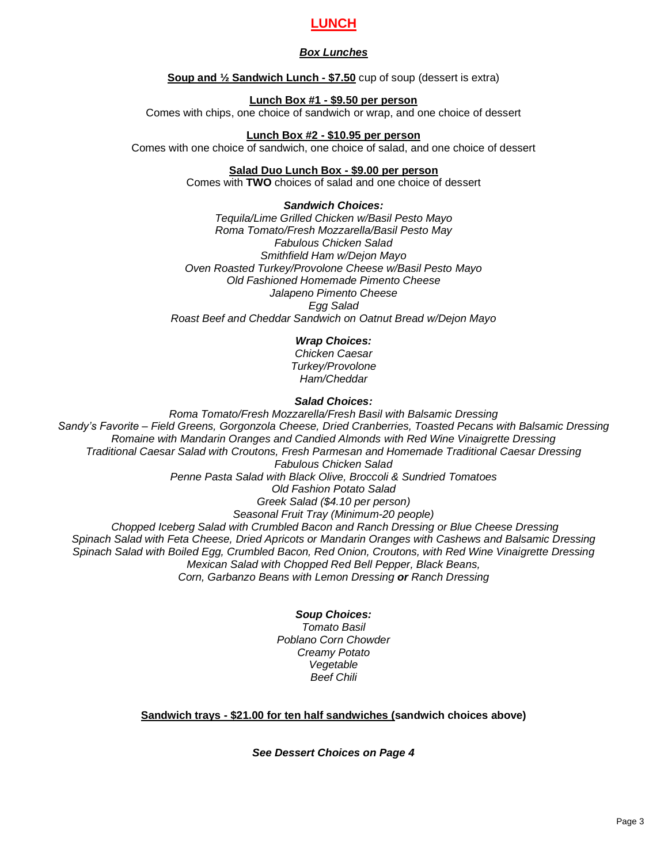# **LUNCH**

# *Box Lunches*

**Soup and ½ Sandwich Lunch - \$7.50** cup of soup (dessert is extra)

## **Lunch Box #1 - \$9.50 per person**

Comes with chips, one choice of sandwich or wrap, and one choice of dessert

## **Lunch Box #2 - \$10.95 per person**

Comes with one choice of sandwich, one choice of salad, and one choice of dessert

# **Salad Duo Lunch Box - \$9.00 per person**

Comes with **TWO** choices of salad and one choice of dessert

# *Sandwich Choices:*

*Tequila/Lime Grilled Chicken w/Basil Pesto Mayo Roma Tomato/Fresh Mozzarella/Basil Pesto May Fabulous Chicken Salad Smithfield Ham w/Dejon Mayo Oven Roasted Turkey/Provolone Cheese w/Basil Pesto Mayo Old Fashioned Homemade Pimento Cheese Jalapeno Pimento Cheese Egg Salad Roast Beef and Cheddar Sandwich on Oatnut Bread w/Dejon Mayo*

# *Wrap Choices:*

*Chicken Caesar Turkey/Provolone Ham/Cheddar*

## *Salad Choices:*

*Roma Tomato/Fresh Mozzarella/Fresh Basil with Balsamic Dressing Sandy's Favorite – Field Greens, Gorgonzola Cheese, Dried Cranberries, Toasted Pecans with Balsamic Dressing Romaine with Mandarin Oranges and Candied Almonds with Red Wine Vinaigrette Dressing Traditional Caesar Salad with Croutons, Fresh Parmesan and Homemade Traditional Caesar Dressing Fabulous Chicken Salad Penne Pasta Salad with Black Olive, Broccoli & Sundried Tomatoes Old Fashion Potato Salad Greek Salad (\$4.10 per person) Seasonal Fruit Tray (Minimum-20 people) Chopped Iceberg Salad with Crumbled Bacon and Ranch Dressing or Blue Cheese Dressing Spinach Salad with Feta Cheese, Dried Apricots or Mandarin Oranges with Cashews and Balsamic Dressing Spinach Salad with Boiled Egg, Crumbled Bacon, Red Onion, Croutons, with Red Wine Vinaigrette Dressing Mexican Salad with Chopped Red Bell Pepper, Black Beans, Corn, Garbanzo Beans with Lemon Dressing or Ranch Dressing*

# *Soup Choices:*

*Tomato Basil Poblano Corn Chowder Creamy Potato Vegetable Beef Chili*

# **Sandwich trays - \$21.00 for ten half sandwiches (sandwich choices above)**

*See Dessert Choices on Page 4*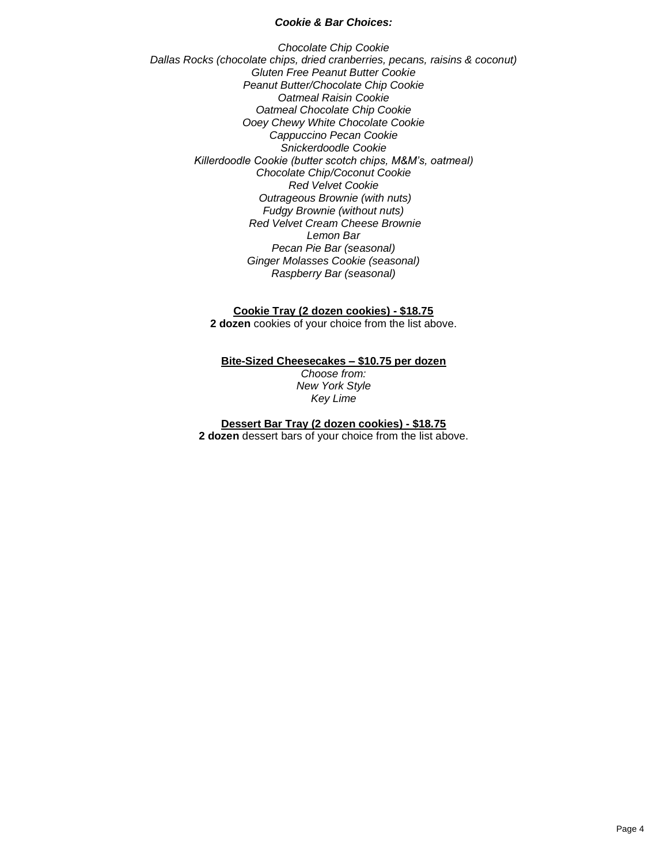#### *Cookie & Bar Choices:*

*Chocolate Chip Cookie Dallas Rocks (chocolate chips, dried cranberries, pecans, raisins & coconut) Gluten Free Peanut Butter Cookie Peanut Butter/Chocolate Chip Cookie Oatmeal Raisin Cookie Oatmeal Chocolate Chip Cookie Ooey Chewy White Chocolate Cookie Cappuccino Pecan Cookie Snickerdoodle Cookie Killerdoodle Cookie (butter scotch chips, M&M's, oatmeal) Chocolate Chip/Coconut Cookie Red Velvet Cookie Outrageous Brownie (with nuts) Fudgy Brownie (without nuts) Red Velvet Cream Cheese Brownie Lemon Bar Pecan Pie Bar (seasonal) Ginger Molasses Cookie (seasonal) Raspberry Bar (seasonal)*

> **Cookie Tray (2 dozen cookies) - \$18.75 2 dozen** cookies of your choice from the list above.

# **Bite-Sized Cheesecakes – \$10.75 per dozen**

*Choose from: New York Style Key Lime*

**Dessert Bar Tray (2 dozen cookies) - \$18.75**

**2 dozen** dessert bars of your choice from the list above.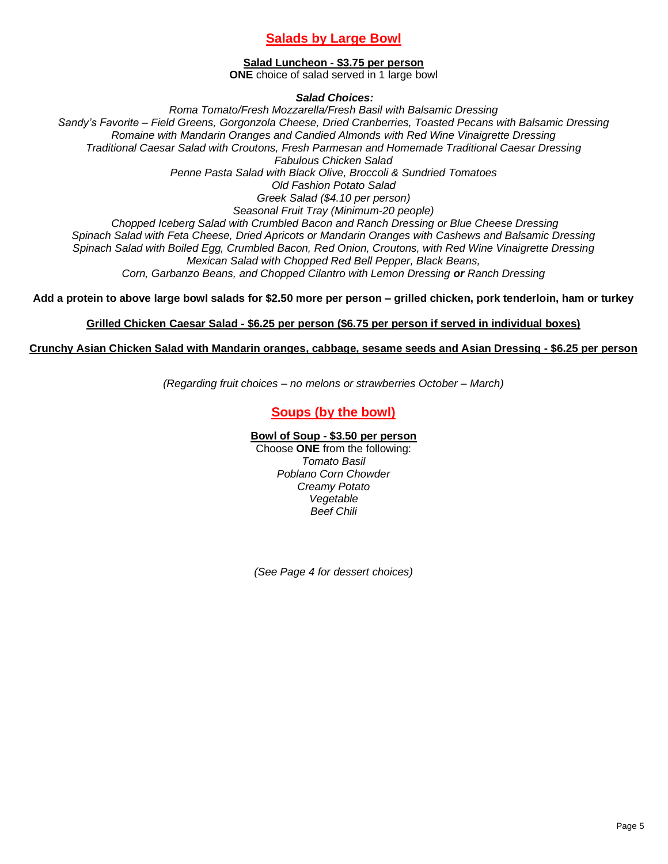# **Salads by Large Bowl**

## **Salad Luncheon - \$3.75 per person**

**ONE** choice of salad served in 1 large bowl

*Salad Choices:*

*Roma Tomato/Fresh Mozzarella/Fresh Basil with Balsamic Dressing Sandy's Favorite – Field Greens, Gorgonzola Cheese, Dried Cranberries, Toasted Pecans with Balsamic Dressing Romaine with Mandarin Oranges and Candied Almonds with Red Wine Vinaigrette Dressing Traditional Caesar Salad with Croutons, Fresh Parmesan and Homemade Traditional Caesar Dressing Fabulous Chicken Salad Penne Pasta Salad with Black Olive, Broccoli & Sundried Tomatoes Old Fashion Potato Salad Greek Salad (\$4.10 per person) Seasonal Fruit Tray (Minimum-20 people) Chopped Iceberg Salad with Crumbled Bacon and Ranch Dressing or Blue Cheese Dressing Spinach Salad with Feta Cheese, Dried Apricots or Mandarin Oranges with Cashews and Balsamic Dressing Spinach Salad with Boiled Egg, Crumbled Bacon, Red Onion, Croutons, with Red Wine Vinaigrette Dressing Mexican Salad with Chopped Red Bell Pepper, Black Beans, Corn, Garbanzo Beans, and Chopped Cilantro with Lemon Dressing or Ranch Dressing*

**Add a protein to above large bowl salads for \$2.50 more per person – grilled chicken, pork tenderloin, ham or turkey**

## **Grilled Chicken Caesar Salad - \$6.25 per person (\$6.75 per person if served in individual boxes)**

## **Crunchy Asian Chicken Salad with Mandarin oranges, cabbage, sesame seeds and Asian Dressing - \$6.25 per person**

*(Regarding fruit choices – no melons or strawberries October – March)*

# **Soups (by the bowl)**

## **Bowl of Soup - \$3.50 per person**

Choose **ONE** from the following: *Tomato Basil Poblano Corn Chowder Creamy Potato Vegetable Beef Chili*

*(See Page 4 for dessert choices)*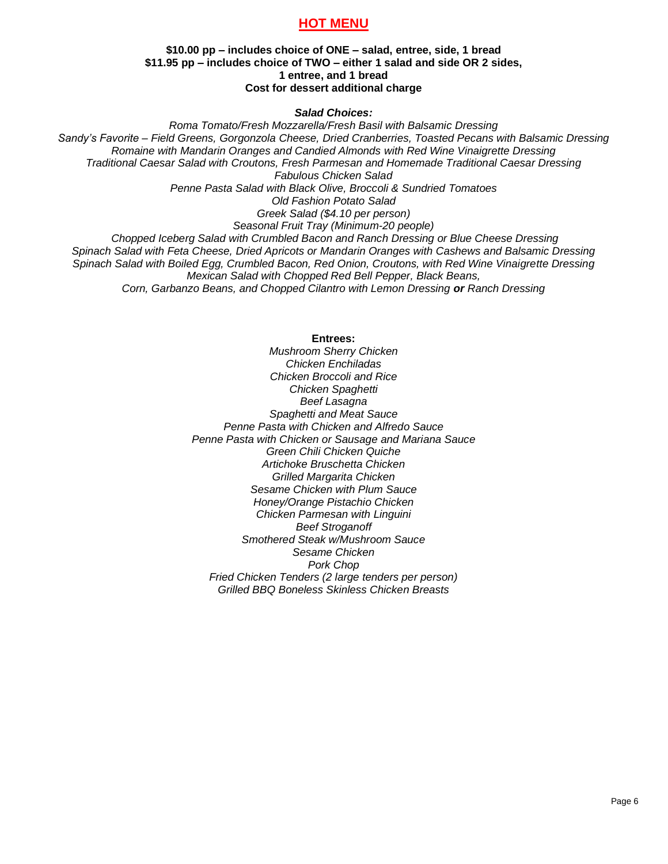# **HOT MENU**

#### **\$10.00 pp – includes choice of ONE – salad, entree, side, 1 bread \$11.95 pp – includes choice of TWO – either 1 salad and side OR 2 sides, 1 entree, and 1 bread Cost for dessert additional charge**

#### *Salad Choices:*

*Roma Tomato/Fresh Mozzarella/Fresh Basil with Balsamic Dressing Sandy's Favorite – Field Greens, Gorgonzola Cheese, Dried Cranberries, Toasted Pecans with Balsamic Dressing Romaine with Mandarin Oranges and Candied Almonds with Red Wine Vinaigrette Dressing Traditional Caesar Salad with Croutons, Fresh Parmesan and Homemade Traditional Caesar Dressing Fabulous Chicken Salad Penne Pasta Salad with Black Olive, Broccoli & Sundried Tomatoes Old Fashion Potato Salad Greek Salad (\$4.10 per person) Seasonal Fruit Tray (Minimum-20 people) Chopped Iceberg Salad with Crumbled Bacon and Ranch Dressing or Blue Cheese Dressing Spinach Salad with Feta Cheese, Dried Apricots or Mandarin Oranges with Cashews and Balsamic Dressing Spinach Salad with Boiled Egg, Crumbled Bacon, Red Onion, Croutons, with Red Wine Vinaigrette Dressing Mexican Salad with Chopped Red Bell Pepper, Black Beans, Corn, Garbanzo Beans, and Chopped Cilantro with Lemon Dressing or Ranch Dressing*

#### **Entrees:**

*Mushroom Sherry Chicken Chicken Enchiladas Chicken Broccoli and Rice Chicken Spaghetti Beef Lasagna Spaghetti and Meat Sauce Penne Pasta with Chicken and Alfredo Sauce Penne Pasta with Chicken or Sausage and Mariana Sauce Green Chili Chicken Quiche Artichoke Bruschetta Chicken Grilled Margarita Chicken Sesame Chicken with Plum Sauce Honey/Orange Pistachio Chicken Chicken Parmesan with Linguini Beef Stroganoff Smothered Steak w/Mushroom Sauce Sesame Chicken Pork Chop Fried Chicken Tenders (2 large tenders per person) Grilled BBQ Boneless Skinless Chicken Breasts*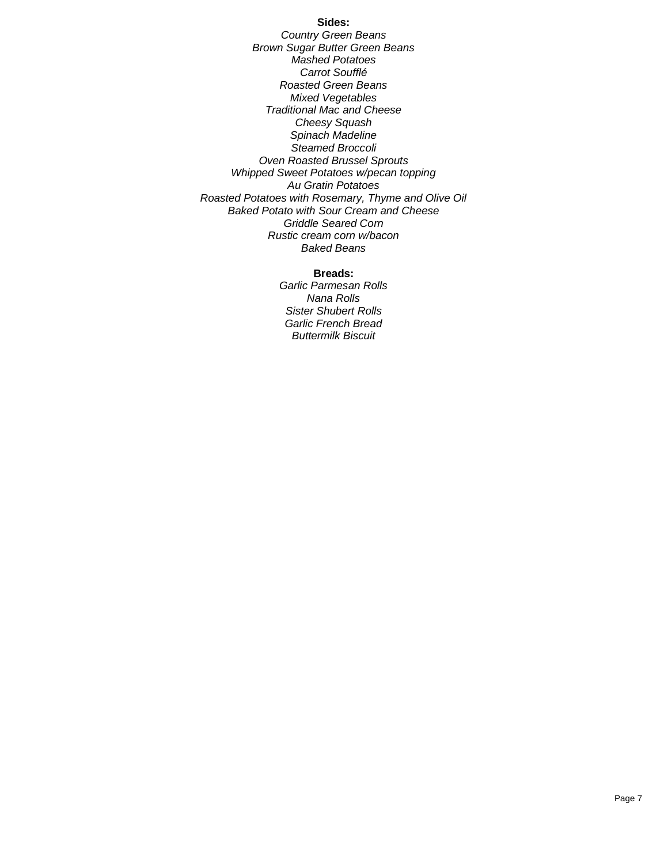#### **Sides:**

*Country Green Beans Brown Sugar Butter Green Beans Mashed Potatoes Carrot Soufflé Roasted Green Beans Mixed Vegetables Traditional Mac and Cheese Cheesy Squash Spinach Madeline Steamed Broccoli Oven Roasted Brussel Sprouts Whipped Sweet Potatoes w/pecan topping Au Gratin Potatoes Roasted Potatoes with Rosemary, Thyme and Olive Oil Baked Potato with Sour Cream and Cheese Griddle Seared Corn Rustic cream corn w/bacon Baked Beans*

#### **Breads:**

*Garlic Parmesan Rolls Nana Rolls Sister Shubert Rolls Garlic French Bread Buttermilk Biscuit*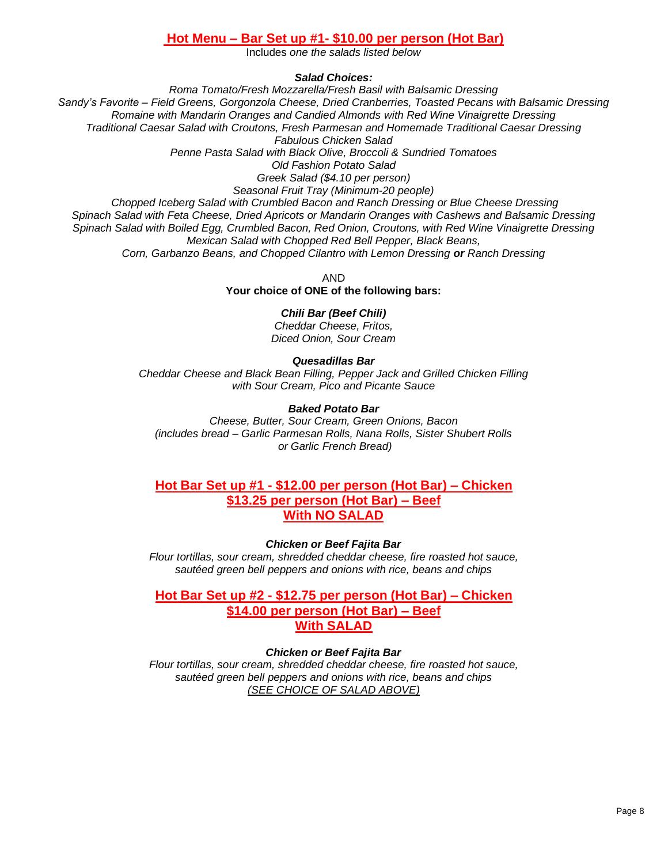# **Hot Menu – Bar Set up #1- \$10.00 per person (Hot Bar)**

Includes *one the salads listed below*

*Salad Choices:*

*Roma Tomato/Fresh Mozzarella/Fresh Basil with Balsamic Dressing Sandy's Favorite – Field Greens, Gorgonzola Cheese, Dried Cranberries, Toasted Pecans with Balsamic Dressing Romaine with Mandarin Oranges and Candied Almonds with Red Wine Vinaigrette Dressing Traditional Caesar Salad with Croutons, Fresh Parmesan and Homemade Traditional Caesar Dressing Fabulous Chicken Salad Penne Pasta Salad with Black Olive, Broccoli & Sundried Tomatoes Old Fashion Potato Salad Greek Salad (\$4.10 per person) Seasonal Fruit Tray (Minimum-20 people) Chopped Iceberg Salad with Crumbled Bacon and Ranch Dressing or Blue Cheese Dressing Spinach Salad with Feta Cheese, Dried Apricots or Mandarin Oranges with Cashews and Balsamic Dressing Spinach Salad with Boiled Egg, Crumbled Bacon, Red Onion, Croutons, with Red Wine Vinaigrette Dressing Mexican Salad with Chopped Red Bell Pepper, Black Beans, Corn, Garbanzo Beans, and Chopped Cilantro with Lemon Dressing or Ranch Dressing*

> AND **Your choice of ONE of the following bars:**

# *Chili Bar (Beef Chili)*

*Cheddar Cheese, Fritos, Diced Onion, Sour Cream*

*Quesadillas Bar Cheddar Cheese and Black Bean Filling, Pepper Jack and Grilled Chicken Filling with Sour Cream, Pico and Picante Sauce*

# *Baked Potato Bar*

*Cheese, Butter, Sour Cream, Green Onions, Bacon (includes bread – Garlic Parmesan Rolls, Nana Rolls, Sister Shubert Rolls or Garlic French Bread)*

# **Hot Bar Set up #1 - \$12.00 per person (Hot Bar) – Chicken \$13.25 per person (Hot Bar) – Beef With NO SALAD**

# *Chicken or Beef Fajita Bar*

*Flour tortillas, sour cream, shredded cheddar cheese, fire roasted hot sauce, sautéed green bell peppers and onions with rice, beans and chips*

**Hot Bar Set up #2 - \$12.75 per person (Hot Bar) – Chicken \$14.00 per person (Hot Bar) – Beef With SALAD**

# *Chicken or Beef Fajita Bar*

*Flour tortillas, sour cream, shredded cheddar cheese, fire roasted hot sauce, sautéed green bell peppers and onions with rice, beans and chips (SEE CHOICE OF SALAD ABOVE)*